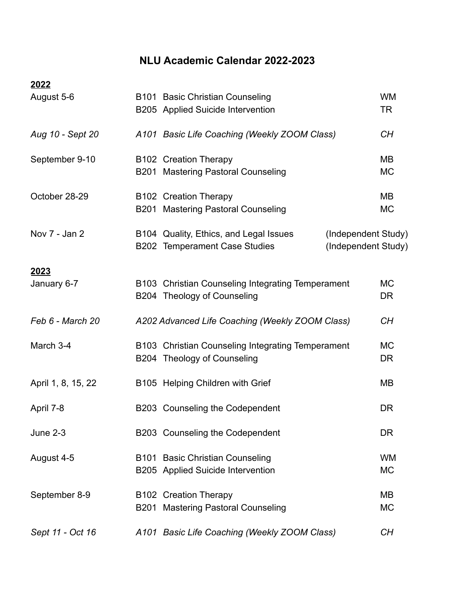## **NLU Academic Calendar 2022-2023**

| 2022               |                                                                                                                       |                        |
|--------------------|-----------------------------------------------------------------------------------------------------------------------|------------------------|
| August 5-6         | <b>B101 Basic Christian Counseling</b><br>B205 Applied Suicide Intervention                                           |                        |
| Aug 10 - Sept 20   | A101 Basic Life Coaching (Weekly ZOOM Class)                                                                          |                        |
| September 9-10     | <b>B102 Creation Therapy</b><br>B201 Mastering Pastoral Counseling                                                    |                        |
| October 28-29      | B102 Creation Therapy<br>B201 Mastering Pastoral Counseling                                                           | <b>MB</b><br><b>MC</b> |
| Nov 7 - Jan 2      | B104 Quality, Ethics, and Legal Issues<br>(Independent Study)<br>B202 Temperament Case Studies<br>(Independent Study) |                        |
| 2023               |                                                                                                                       |                        |
| January 6-7        | B103 Christian Counseling Integrating Temperament<br>B204 Theology of Counseling                                      |                        |
| Feb 6 - March 20   | A202 Advanced Life Coaching (Weekly ZOOM Class)                                                                       | CH                     |
| March 3-4          | B103 Christian Counseling Integrating Temperament<br>B204 Theology of Counseling                                      | <b>MC</b><br><b>DR</b> |
| April 1, 8, 15, 22 | B105 Helping Children with Grief                                                                                      | MB                     |
| April 7-8          | B203 Counseling the Codependent                                                                                       | DR                     |
| <b>June 2-3</b>    | B203 Counseling the Codependent                                                                                       | <b>DR</b>              |
| August 4-5         | B101 Basic Christian Counseling<br>B205 Applied Suicide Intervention                                                  | <b>WM</b><br><b>MC</b> |
| September 8-9      | <b>B102 Creation Therapy</b><br>B201 Mastering Pastoral Counseling                                                    | <b>MB</b><br><b>MC</b> |
| Sept 11 - Oct 16   | A101 Basic Life Coaching (Weekly ZOOM Class)                                                                          | CH                     |